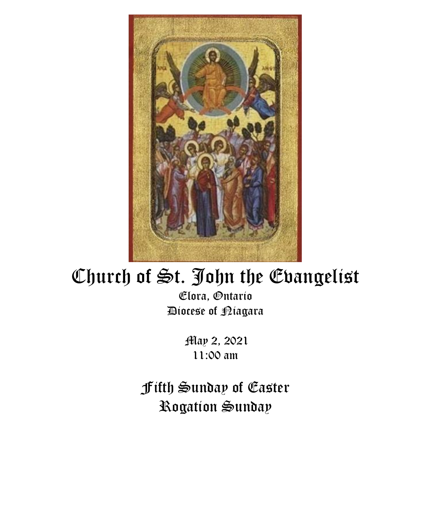

# Church of St. John the Evangelist

Elora, Ontario Diocese of Niagara

> May 2, 2021 11:00 am

Fifth Sunday of Easter Rogation Sunday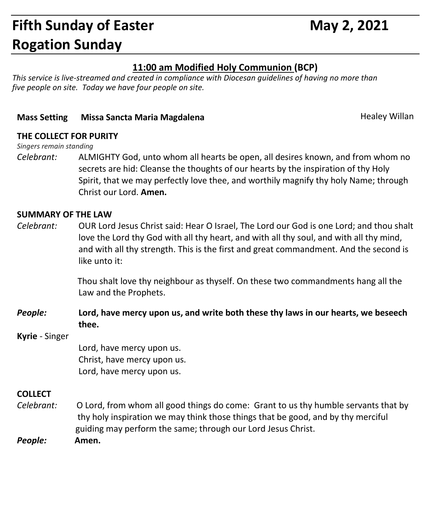## **Fifth Sunday of Easter May 2, 2021 Rogation Sunday**

#### **11:00 am Modified Holy Communion (BCP)**

*This service is live-streamed and created in compliance with Diocesan guidelines of having no more than five people on site. Today we have four people on site.*

#### **Mass Setting Missa Sancta Maria Magdalena Magdalena Healey Willan**

#### **THE COLLECT FOR PURITY**

*Singers remain standing*

*Celebrant:* ALMIGHTY God, unto whom all hearts be open, all desires known, and from whom no secrets are hid: Cleanse the thoughts of our hearts by the inspiration of thy Holy Spirit, that we may perfectly love thee, and worthily magnify thy holy Name; through Christ our Lord. **Amen.**

#### **SUMMARY OF THE LAW**

*Celebrant:* OUR Lord Jesus Christ said: Hear O Israel, The Lord our God is one Lord; and thou shalt love the Lord thy God with all thy heart, and with all thy soul, and with all thy mind, and with all thy strength. This is the first and great commandment. And the second is like unto it:

> Thou shalt love thy neighbour as thyself. On these two commandments hang all the Law and the Prophets.

*People:* **Lord, have mercy upon us, and write both these thy laws in our hearts, we beseech thee.**

#### **Kyrie** - Singer

Lord, have mercy upon us. Christ, have mercy upon us. Lord, have mercy upon us.

#### **COLLECT**

- *Celebrant:* O Lord, from whom all good things do come: Grant to us thy humble servants that by thy holy inspiration we may think those things that be good, and by thy merciful guiding may perform the same; through our Lord Jesus Christ.
- *People:* **Amen.**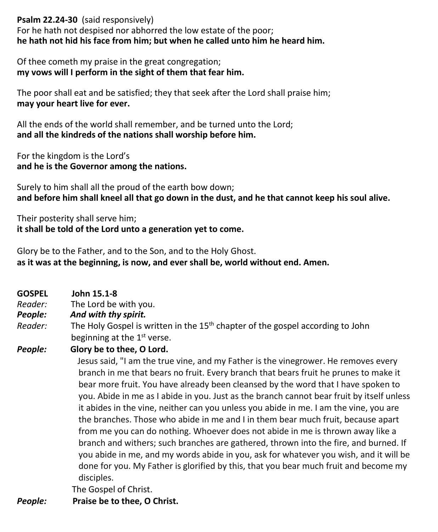**Psalm 22.24-30** (said responsively)

For he hath not despised nor abhorred the low estate of the poor; **he hath not hid his face from him; but when he called unto him he heard him.**

Of thee cometh my praise in the great congregation; **my vows will I perform in the sight of them that fear him.**

The poor shall eat and be satisfied; they that seek after the Lord shall praise him; **may your heart live for ever.**

All the ends of the world shall remember, and be turned unto the Lord; **and all the kindreds of the nations shall worship before him.**

For the kingdom is the Lord's **and he is the Governor among the nations.**

Surely to him shall all the proud of the earth bow down; **and before him shall kneel all that go down in the dust, and he that cannot keep his soul alive.**

Their posterity shall serve him; **it shall be told of the Lord unto a generation yet to come.**

Glory be to the Father, and to the Son, and to the Holy Ghost. **as it was at the beginning, is now, and ever shall be, world without end. Amen.**

- **GOSPEL John 15.1-8**
- *Reader:*The Lord be with you.

#### *People: And with thy spirit.*

*Reader:* The Holy Gospel is written in the 15<sup>th</sup> chapter of the gospel according to John beginning at the 1<sup>st</sup> verse.

#### *People:* **Glory be to thee, O Lord.**

 Jesus said, "I am the true vine, and my Father is the vinegrower. He removes every branch in me that bears no fruit. Every branch that bears fruit he prunes to make it bear more fruit. You have already been cleansed by the word that I have spoken to you. Abide in me as I abide in you. Just as the branch cannot bear fruit by itself unless it abides in the vine, neither can you unless you abide in me. I am the vine, you are the branches. Those who abide in me and I in them bear much fruit, because apart from me you can do nothing. Whoever does not abide in me is thrown away like a branch and withers; such branches are gathered, thrown into the fire, and burned. If you abide in me, and my words abide in you, ask for whatever you wish, and it will be done for you. My Father is glorified by this, that you bear much fruit and become my disciples.

The Gospel of Christ.

*People:* **Praise be to thee, O Christ.**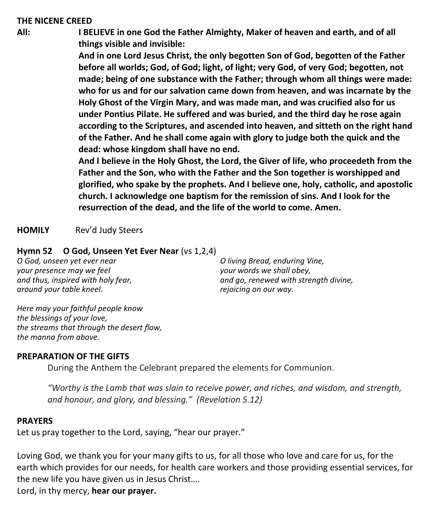#### **THE NICENE CREED**

**All: I BELIEVE in one God the Father Almighty, Maker of heaven and earth, and of all things visible and invisible:**

> **And in one Lord Jesus Christ, the only begotten Son of God, begotten of the Father before all worlds; God, of God; light, of light; very God, of very God; begotten, not made; being of one substance with the Father; through whom all things were made: who for us and for our salvation came down from heaven, and was incarnate by the Holy Ghost of the Virgin Mary, and was made man, and was crucified also for us under Pontius Pilate. He suffered and was buried, and the third day he rose again according to the Scriptures, and ascended into heaven, and sitteth on the right hand of the Father. And he shall come again with glory to judge both the quick and the dead: whose kingdom shall have no end.**

> **And I believe in the Holy Ghost, the Lord, the Giver of life, who proceedeth from the Father and the Son, who with the Father and the Son together is worshipped and glorified, who spake by the prophets. And I believe one, holy, catholic, and apostolic church. I acknowledge one baptism for the remission of sins. And I look for the resurrection of the dead, and the life of the world to come. Amen.**

**HOMILY** Rev'd Judy Steers

#### **Hymn 52 O God, Unseen Yet Ever Near** (vs 1,2,4)

*O God, unseen yet ever near your presence may we feel and thus, inspired with holy fear, around your table kneel.*

*O living Bread, enduring Vine, your words we shall obey, and go, renewed with strength divine, rejoicing on our way.*

*Here may your faithful people know the blessings of your love, the streams that through the desert flow, the manna from above.*

#### **PREPARATION OF THE GIFTS**

During the Anthem the Celebrant prepared the elements for Communion.

*"Worthy is the Lamb that was slain to receive power, and riches, and wisdom, and strength, and honour, and glory, and blessing." (Revelation 5.12)*

#### **PRAYERS**

Let us pray together to the Lord, saying, "hear our prayer."

Loving God, we thank you for your many gifts to us, for all those who love and care for us, for the earth which provides for our needs, for health care workers and those providing essential services, for the new life you have given us in Jesus Christ….

Lord, in thy mercy, **hear our prayer.**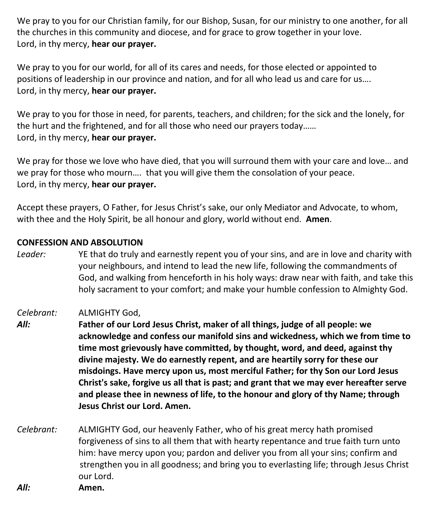We pray to you for our Christian family, for our Bishop, Susan, for our ministry to one another, for all the churches in this community and diocese, and for grace to grow together in your love. Lord, in thy mercy, **hear our prayer.**

We pray to you for our world, for all of its cares and needs, for those elected or appointed to positions of leadership in our province and nation, and for all who lead us and care for us…. Lord, in thy mercy, **hear our prayer.**

We pray to you for those in need, for parents, teachers, and children; for the sick and the lonely, for the hurt and the frightened, and for all those who need our prayers today…… Lord, in thy mercy, **hear our prayer.**

We pray for those we love who have died, that you will surround them with your care and love… and we pray for those who mourn…. that you will give them the consolation of your peace. Lord, in thy mercy, **hear our prayer.**

Accept these prayers, O Father, for Jesus Christ's sake, our only Mediator and Advocate, to whom, with thee and the Holy Spirit, be all honour and glory, world without end. **Amen**.

#### **CONFESSION AND ABSOLUTION**

*Leader:* YE that do truly and earnestly repent you of your sins, and are in love and charity with your neighbours, and intend to lead the new life, following the commandments of God, and walking from henceforth in his holy ways: draw near with faith, and take this holy sacrament to your comfort; and make your humble confession to Almighty God.

#### *Celebrant:* ALMIGHTY God,

- *All:* **Father of our Lord Jesus Christ, maker of all things, judge of all people: we acknowledge and confess our manifold sins and wickedness, which we from time to time most grievously have committed, by thought, word, and deed, against thy divine majesty. We do earnestly repent, and are heartily sorry for these our misdoings. Have mercy upon us, most merciful Father; for thy Son our Lord Jesus Christ's sake, forgive us all that is past; and grant that we may ever hereafter serve and please thee in newness of life, to the honour and glory of thy Name; through Jesus Christ our Lord. Amen.**
- *Celebrant:* ALMIGHTY God, our heavenly Father, who of his great mercy hath promised forgiveness of sins to all them that with hearty repentance and true faith turn unto him: have mercy upon you; pardon and deliver you from all your sins; confirm and strengthen you in all goodness; and bring you to everlasting life; through Jesus Christ our Lord. *All:* **Amen.**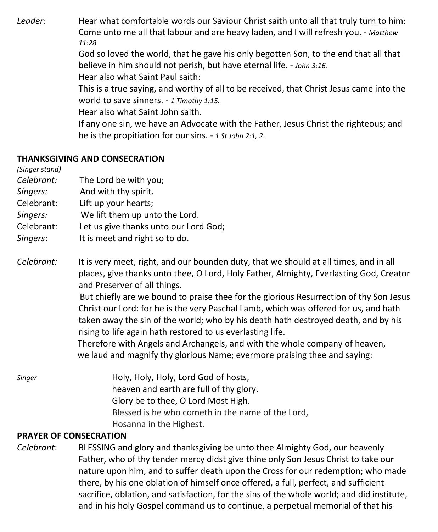*Leader:* Hear what comfortable words our Saviour Christ saith unto all that truly turn to him: Come unto me all that labour and are heavy laden, and I will refresh you. - *Matthew 11:28*

God so loved the world, that he gave his only begotten Son, to the end that all that believe in him should not perish, but have eternal life. - *John 3:16.*

Hear also what Saint Paul saith:

This is a true saying, and worthy of all to be received, that Christ Jesus came into the world to save sinners. - *1 Timothy 1:15.*

Hear also what Saint John saith.

If any one sin, we have an Advocate with the Father, Jesus Christ the righteous; and he is the propitiation for our sins. - *1 St John 2:1, 2*.

#### **THANKSGIVING AND CONSECRATION**

*(Singer stand)*

- *Celebrant:* The Lord be with you;
- *Singers:* And with thy spirit.
- Celebrant: Lift up your hearts;
- *Singers:* We lift them up unto the Lord.
- Celebrant*:* Let us give thanks unto our Lord God;
- *Singers*: It is meet and right so to do.
- *Celebrant:* It is very meet, right, and our bounden duty, that we should at all times, and in all places, give thanks unto thee, O Lord, Holy Father, Almighty, Everlasting God, Creator and Preserver of all things.

But chiefly are we bound to praise thee for the glorious Resurrection of thy Son Jesus Christ our Lord: for he is the very Paschal Lamb, which was offered for us, and hath taken away the sin of the world; who by his death hath destroyed death, and by his rising to life again hath restored to us everlasting life.

 Therefore with Angels and Archangels, and with the whole company of heaven, we laud and magnify thy glorious Name; evermore praising thee and saying:

*Singer* Holy, Holy, Holy, Lord God of hosts, heaven and earth are full of thy glory. Glory be to thee, O Lord Most High. Blessed is he who cometh in the name of the Lord, Hosanna in the Highest.

#### **PRAYER OF CONSECRATION**

*Celebrant*: BLESSING and glory and thanksgiving be unto thee Almighty God, our heavenly Father, who of thy tender mercy didst give thine only Son Jesus Christ to take our nature upon him, and to suffer death upon the Cross for our redemption; who made there, by his one oblation of himself once offered, a full, perfect, and sufficient sacrifice, oblation, and satisfaction, for the sins of the whole world; and did institute, and in his holy Gospel command us to continue, a perpetual memorial of that his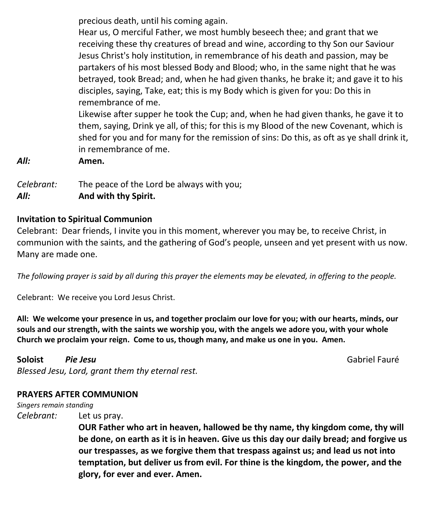precious death, until his coming again.

Hear us, O merciful Father, we most humbly beseech thee; and grant that we receiving these thy creatures of bread and wine, according to thy Son our Saviour Jesus Christ's holy institution, in remembrance of his death and passion, may be partakers of his most blessed Body and Blood; who, in the same night that he was betrayed, took Bread; and, when he had given thanks, he brake it; and gave it to his disciples, saying, Take, eat; this is my Body which is given for you: Do this in remembrance of me.

Likewise after supper he took the Cup; and, when he had given thanks, he gave it to them, saying, Drink ye all, of this; for this is my Blood of the new Covenant, which is shed for you and for many for the remission of sins: Do this, as oft as ye shall drink it, in remembrance of me.

*All:* **Amen.**

*Celebrant:* The peace of the Lord be always with you; *All:* **And with thy Spirit.**

#### **Invitation to Spiritual Communion**

Celebrant: Dear friends, I invite you in this moment, wherever you may be, to receive Christ, in communion with the saints, and the gathering of God's people, unseen and yet present with us now. Many are made one.

*The following prayer is said by all during this prayer the elements may be elevated, in offering to the people.*

Celebrant: We receive you Lord Jesus Christ.

**All: We welcome your presence in us, and together proclaim our love for you; with our hearts, minds, our souls and our strength, with the saints we worship you, with the angels we adore you, with your whole Church we proclaim your reign. Come to us, though many, and make us one in you. Amen.**

**Soloist** *Pie Jesu* Gabriel Fauré *Blessed Jesu, Lord, grant them thy eternal rest.*

### **PRAYERS AFTER COMMUNION**

*Singers remain standing*

*Celebrant:* Let us pray.

**OUR Father who art in heaven, hallowed be thy name, thy kingdom come, thy will be done, on earth as it is in heaven. Give us this day our daily bread; and forgive us our trespasses, as we forgive them that trespass against us; and lead us not into temptation, but deliver us from evil. For thine is the kingdom, the power, and the glory, for ever and ever. Amen.**